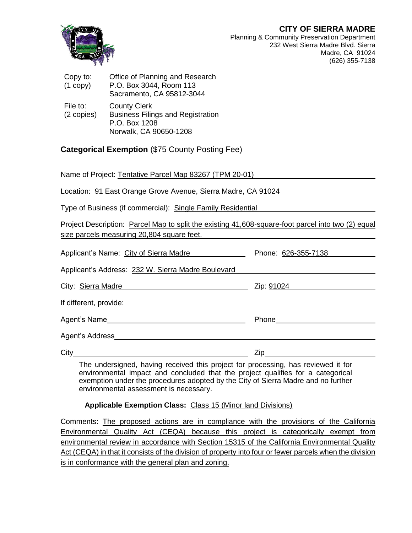**CITY OF SIERRA MADRE**



Planning & Community Preservation Department 232 West Sierra Madre Blvd. Sierra Madre, CA 91024 (626) 355-7138

| Copy to:<br>$(1$ copy $)$ | Office of Planning and Research<br>P.O. Box 3044, Room 113<br>Sacramento, CA 95812-3044                    |
|---------------------------|------------------------------------------------------------------------------------------------------------|
| File to:<br>(2 copies)    | <b>County Clerk</b><br><b>Business Filings and Registration</b><br>P.O. Box 1208<br>Norwalk, CA 90650-1208 |

**Categorical Exemption** (\$75 County Posting Fee)

Name of Project: Tentative Parcel Map 83267 (TPM 20-01)

Location: 91 East Orange Grove Avenue, Sierra Madre, CA 91024

Type of Business (if commercial): Single Family Residential

Project Description: Parcel Map to split the existing 41,608-square-foot parcel into two (2) equal size parcels measuring 20,804 square feet.

| Applicant's Name: City of Sierra Madre             | Phone: 626-355-7138       |
|----------------------------------------------------|---------------------------|
| Applicant's Address: 232 W. Sierra Madre Boulevard |                           |
| City: Sierra Madre                                 | Zip: 91024                |
| If different, provide:                             |                           |
|                                                    | Phone____________________ |
| Agent's Address                                    |                           |
| City                                               | Zip                       |

The undersigned, having received this project for processing, has reviewed it for environmental impact and concluded that the project qualifies for a categorical exemption under the procedures adopted by the City of Sierra Madre and no further environmental assessment is necessary.

## **Applicable Exemption Class:** Class 15 (Minor land Divisions)

Comments: The proposed actions are in compliance with the provisions of the California Environmental Quality Act (CEQA) because this project is categorically exempt from environmental review in accordance with Section 15315 of the California Environmental Quality Act (CEQA) in that it consists of the division of property into four or fewer parcels when the division is in conformance with the general plan and zoning.